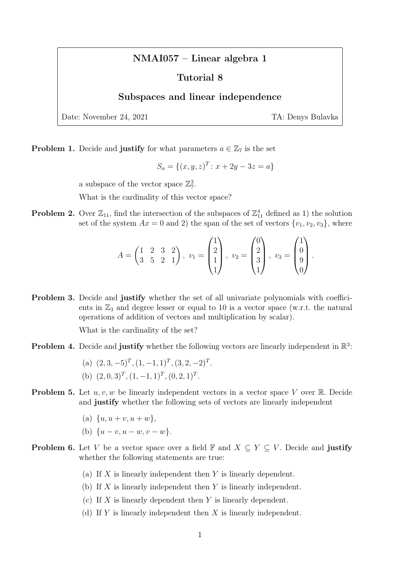## NMAI057 – Linear algebra 1

## Tutorial 8

## Subspaces and linear independence

Date: November 24, 2021 TA: Denys Bulavka

**Problem 1.** Decide and **justify** for what parameters  $a \in \mathbb{Z}_7$  is the set

$$
S_a = \{(x, y, z)^T : x + 2y - 3z = a\}
$$

a subspace of the vector space  $\mathbb{Z}_7^3$ .

What is the cardinality of this vector space?

**Problem 2.** Over  $\mathbb{Z}_{11}$ , find the intersection of the subspaces of  $\mathbb{Z}_{11}^4$  defined as 1) the solution set of the system  $Ax = 0$  and 2) the span of the set of vectors  $\{v_1, v_2, v_3\}$ , where

$$
A = \begin{pmatrix} 1 & 2 & 3 & 2 \\ 3 & 5 & 2 & 1 \end{pmatrix}, v_1 = \begin{pmatrix} 1 \\ 2 \\ 1 \\ 1 \end{pmatrix}, v_2 = \begin{pmatrix} 0 \\ 2 \\ 3 \\ 1 \end{pmatrix}, v_3 = \begin{pmatrix} 1 \\ 0 \\ 9 \\ 0 \end{pmatrix}.
$$

Problem 3. Decide and justify whether the set of all univariate polynomials with coefficients in  $\mathbb{Z}_3$  and degree lesser or equal to 10 is a vector space (w.r.t. the natural operations of addition of vectors and multiplication by scalar).

What is the cardinality of the set?

- **Problem 4.** Decide and **justify** whether the following vectors are linearly independent in  $\mathbb{R}^3$ :
	- (a)  $(2, 3, -5)^T$ ,  $(1, -1, 1)^T$ ,  $(3, 2, -2)^T$ . (b)  $(2, 0, 3)^T$ ,  $(1, -1, 1)^T$ ,  $(0, 2, 1)^T$ .
- **Problem 5.** Let  $u, v, w$  be linearly independent vectors in a vector space V over R. Decide and justify whether the following sets of vectors are linearly independent
	- (a)  $\{u, u + v, u + w\},\$
	- (b)  $\{u v, u w, v w\}.$
- **Problem 6.** Let V be a vector space over a field  $\mathbb{F}$  and  $X \subseteq Y \subseteq V$ . Decide and justify whether the following statements are true:
	- (a) If  $X$  is linearly independent then  $Y$  is linearly dependent.
	- (b) If  $X$  is linearly independent then  $Y$  is linearly independent.
	- (c) If X is linearly dependent then Y is linearly dependent.
	- (d) If Y is linearly independent then  $X$  is linearly independent.